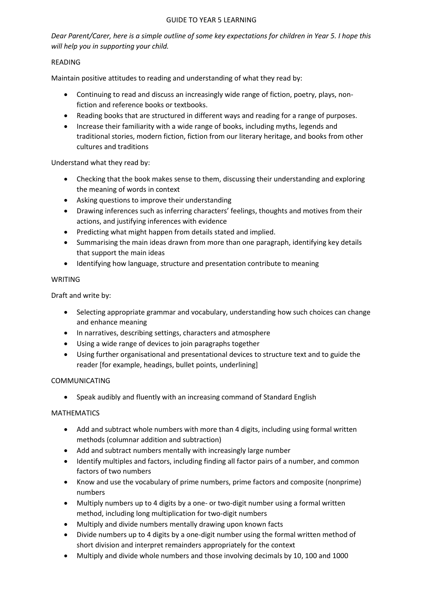#### GUIDE TO YEAR 5 LEARNING

*Dear Parent/Carer, here is a simple outline of some key expectations for children in Year 5. I hope this will help you in supporting your child.*

## READING

Maintain positive attitudes to reading and understanding of what they read by:

- Continuing to read and discuss an increasingly wide range of fiction, poetry, plays, nonfiction and reference books or textbooks.
- Reading books that are structured in different ways and reading for a range of purposes.
- Increase their familiarity with a wide range of books, including myths, legends and traditional stories, modern fiction, fiction from our literary heritage, and books from other cultures and traditions

Understand what they read by:

- Checking that the book makes sense to them, discussing their understanding and exploring the meaning of words in context
- Asking questions to improve their understanding
- Drawing inferences such as inferring characters' feelings, thoughts and motives from their actions, and justifying inferences with evidence
- Predicting what might happen from details stated and implied.
- Summarising the main ideas drawn from more than one paragraph, identifying key details that support the main ideas
- Identifying how language, structure and presentation contribute to meaning

## WRITING

Draft and write by:

- Selecting appropriate grammar and vocabulary, understanding how such choices can change and enhance meaning
- In narratives, describing settings, characters and atmosphere
- Using a wide range of devices to join paragraphs together
- Using further organisational and presentational devices to structure text and to guide the reader [for example, headings, bullet points, underlining]

## COMMUNICATING

Speak audibly and fluently with an increasing command of Standard English

## MATHEMATICS

- Add and subtract whole numbers with more than 4 digits, including using formal written methods (columnar addition and subtraction)
- Add and subtract numbers mentally with increasingly large number
- Identify multiples and factors, including finding all factor pairs of a number, and common factors of two numbers
- Know and use the vocabulary of prime numbers, prime factors and composite (nonprime) numbers
- Multiply numbers up to 4 digits by a one- or two-digit number using a formal written method, including long multiplication for two-digit numbers
- Multiply and divide numbers mentally drawing upon known facts
- Divide numbers up to 4 digits by a one-digit number using the formal written method of short division and interpret remainders appropriately for the context
- Multiply and divide whole numbers and those involving decimals by 10, 100 and 1000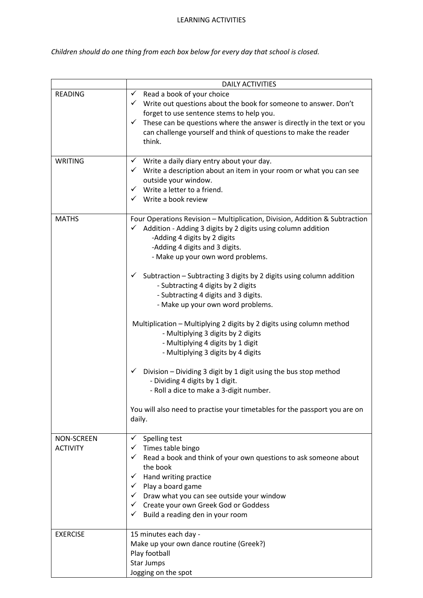#### LEARNING ACTIVITIES

*Children should do one thing from each box below for every day that school is closed.* 

|                                      | <b>DAILY ACTIVITIES</b>                                                                                                                                                                                                                                                                                                                                                                                                                                                                                                                                                                                                                                                                                                                                                                                                                                                                                     |
|--------------------------------------|-------------------------------------------------------------------------------------------------------------------------------------------------------------------------------------------------------------------------------------------------------------------------------------------------------------------------------------------------------------------------------------------------------------------------------------------------------------------------------------------------------------------------------------------------------------------------------------------------------------------------------------------------------------------------------------------------------------------------------------------------------------------------------------------------------------------------------------------------------------------------------------------------------------|
| <b>READING</b>                       | $\checkmark$ Read a book of your choice<br>$\checkmark$ Write out questions about the book for someone to answer. Don't<br>forget to use sentence stems to help you.<br>$\checkmark$ These can be questions where the answer is directly in the text or you<br>can challenge yourself and think of questions to make the reader<br>think.                                                                                                                                                                                                                                                                                                                                                                                                                                                                                                                                                                   |
| <b>WRITING</b>                       | $\checkmark$ Write a daily diary entry about your day.<br>$\checkmark$ Write a description about an item in your room or what you can see<br>outside your window.<br>$\checkmark$ Write a letter to a friend.<br>$\checkmark$ Write a book review                                                                                                                                                                                                                                                                                                                                                                                                                                                                                                                                                                                                                                                           |
| <b>MATHS</b>                         | Four Operations Revision - Multiplication, Division, Addition & Subtraction<br>Addition - Adding 3 digits by 2 digits using column addition<br>✓<br>-Adding 4 digits by 2 digits<br>-Adding 4 digits and 3 digits.<br>- Make up your own word problems.<br>Subtraction - Subtracting 3 digits by 2 digits using column addition<br>$\checkmark$<br>- Subtracting 4 digits by 2 digits<br>- Subtracting 4 digits and 3 digits.<br>- Make up your own word problems.<br>Multiplication - Multiplying 2 digits by 2 digits using column method<br>- Multiplying 3 digits by 2 digits<br>- Multiplying 4 digits by 1 digit<br>- Multiplying 3 digits by 4 digits<br>Division - Dividing 3 digit by 1 digit using the bus stop method<br>✓<br>- Dividing 4 digits by 1 digit.<br>- Roll a dice to make a 3-digit number.<br>You will also need to practise your timetables for the passport you are on<br>daily. |
| <b>NON-SCREEN</b><br><b>ACTIVITY</b> | Spelling test<br>✓<br>Times table bingo<br>✓<br>Read a book and think of your own questions to ask someone about<br>✓<br>the book<br>$\checkmark$ Hand writing practice<br>$\checkmark$ Play a board game<br>$\checkmark$ Draw what you can see outside your window<br>← Create your own Greek God or Goddess<br>Build a reading den in your room<br>✓                                                                                                                                                                                                                                                                                                                                                                                                                                                                                                                                                      |
| <b>EXERCISE</b>                      | 15 minutes each day -<br>Make up your own dance routine (Greek?)<br>Play football<br><b>Star Jumps</b><br>Jogging on the spot                                                                                                                                                                                                                                                                                                                                                                                                                                                                                                                                                                                                                                                                                                                                                                               |